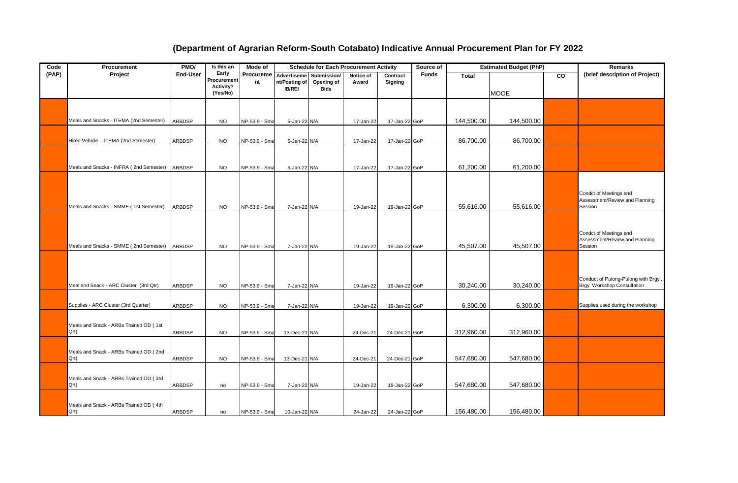## **(Department of Agrarian Reform-South Cotabato) Indicative Annual Procurement Plan for FY 2022**

| Code  | Procurement                             | PMO/            | Is this an           | Mode of       | <b>Schedule for Each Procurement Activity</b> |                           |           | Source of     |              | <b>Estimated Budget (PhP)</b> | Remarks     |           |                                                                     |
|-------|-----------------------------------------|-----------------|----------------------|---------------|-----------------------------------------------|---------------------------|-----------|---------------|--------------|-------------------------------|-------------|-----------|---------------------------------------------------------------------|
| (PAP) | Project                                 | <b>End-User</b> | Early<br>Procurement | Procureme     | Advertiseme                                   | Submission/               | Notice of | Contract      | <b>Funds</b> | <b>Total</b>                  |             | <b>CO</b> | (brief description of Project)                                      |
|       |                                         |                 | Activity?            | nt            | nt/Posting of<br><b>IB/REI</b>                | Opening of<br><b>Bids</b> | Award     | Signing       |              |                               |             |           |                                                                     |
|       |                                         |                 | (Yes/No)             |               |                                               |                           |           |               |              |                               | <b>MOOE</b> |           |                                                                     |
|       |                                         |                 |                      |               |                                               |                           |           |               |              |                               |             |           |                                                                     |
|       |                                         |                 |                      |               |                                               |                           |           |               |              |                               |             |           |                                                                     |
|       | Meals and Snacks - ITEMA (2nd Semester) | <b>ARBDSP</b>   | <b>NO</b>            | NP-53.9 - Sma | 5-Jan-22 N/A                                  |                           | 17-Jan-22 | 17-Jan-22 GoP |              | 144,500.00                    | 144,500.00  |           |                                                                     |
|       |                                         |                 |                      |               |                                               |                           |           |               |              |                               |             |           |                                                                     |
|       |                                         |                 |                      |               |                                               |                           |           |               |              |                               |             |           |                                                                     |
|       | Hired Vehicle - ITEMA (2nd Semester)    | ARBDSP          | <b>NO</b>            | NP-53.9 - Sma | 5-Jan-22 N/A                                  |                           | 17-Jan-22 | 17-Jan-22 GoP |              | 86,700.00                     | 86,700.00   |           |                                                                     |
|       |                                         |                 |                      |               |                                               |                           |           |               |              |                               |             |           |                                                                     |
|       |                                         |                 |                      |               |                                               |                           |           |               |              |                               |             |           |                                                                     |
|       | Meals and Snacks - INFRA (2nd Semester) | <b>ARBDSP</b>   | <b>NO</b>            | NP-53.9 - Sma | 5-Jan-22 N/A                                  |                           | 17-Jan-22 | 17-Jan-22 GoP |              | 61,200.00                     | 61,200.00   |           |                                                                     |
|       |                                         |                 |                      |               |                                               |                           |           |               |              |                               |             |           |                                                                     |
|       |                                         |                 |                      |               |                                               |                           |           |               |              |                               |             |           |                                                                     |
|       |                                         |                 |                      |               |                                               |                           |           |               |              |                               |             |           | Condct of Meetings and<br>Assessment/Review and Planning            |
|       | Meals and Snacks - SMME (1st Semester)  | <b>ARBDSP</b>   | <b>NO</b>            | NP-53.9 - Sma | 7-Jan-22 N/A                                  |                           | 19-Jan-22 | 19-Jan-22 GoP |              | 55,616.00                     | 55,616.00   |           | Session                                                             |
|       |                                         |                 |                      |               |                                               |                           |           |               |              |                               |             |           |                                                                     |
|       |                                         |                 |                      |               |                                               |                           |           |               |              |                               |             |           |                                                                     |
|       |                                         |                 |                      |               |                                               |                           |           |               |              |                               |             |           | Condct of Meetings and                                              |
|       |                                         |                 |                      |               |                                               |                           |           |               |              |                               |             |           | Assessment/Review and Planning                                      |
|       | Meals and Snacks - SMME (2nd Semester)  | <b>ARBDSP</b>   | <b>NO</b>            | NP-53.9 - Sma | 7-Jan-22 N/A                                  |                           | 19-Jan-22 | 19-Jan-22 GoP |              | 45,507.00                     | 45,507.00   |           | Session                                                             |
|       |                                         |                 |                      |               |                                               |                           |           |               |              |                               |             |           |                                                                     |
|       |                                         |                 |                      |               |                                               |                           |           |               |              |                               |             |           |                                                                     |
|       |                                         |                 |                      |               |                                               |                           |           |               |              |                               |             |           |                                                                     |
|       | Meal and Snack - ARC Cluster (3rd Qtr)  | <b>ARBDSP</b>   | <b>NO</b>            | NP-53.9 - Sma | 7-Jan-22 N/A                                  |                           | 19-Jan-22 | 19-Jan-22 GoP |              | 30,240.00                     | 30,240.00   |           | Conduct of Pulong-Pulong with Brgy.,<br>Brgy. Workshop Consultation |
|       |                                         |                 |                      |               |                                               |                           |           |               |              |                               |             |           |                                                                     |
|       |                                         |                 |                      |               |                                               |                           |           |               |              |                               |             |           |                                                                     |
|       | Supplies - ARC Cluster (3rd Quarter)    | ARBDSP          | <b>NO</b>            | NP-53.9 - Sma | 7-Jan-22 N/A                                  |                           | 19-Jan-22 | 19-Jan-22 GoP |              | 6,300.00                      | 6,300.00    |           | Supplies used during the workshop                                   |
|       |                                         |                 |                      |               |                                               |                           |           |               |              |                               |             |           |                                                                     |
|       | Meals and Snack - ARBs Trained OD (1st  |                 |                      |               |                                               |                           |           |               |              |                               |             |           |                                                                     |
|       | Qrt)                                    | <b>ARBDSP</b>   | <b>NO</b>            | NP-53.9 - Sma | 13-Dec-21 N/A                                 |                           | 24-Dec-21 | 24-Dec-21 GoP |              | 312,960.00                    | 312,960.00  |           |                                                                     |
|       |                                         |                 |                      |               |                                               |                           |           |               |              |                               |             |           |                                                                     |
|       | Meals and Snack - ARBs Trained OD (2nd  |                 |                      |               |                                               |                           |           |               |              |                               |             |           |                                                                     |
|       | Qrt)                                    | <b>ARBDSP</b>   | <b>NO</b>            | NP-53.9 - Sma | 13-Dec-21 N/A                                 |                           | 24-Dec-21 | 24-Dec-21 GoP |              | 547,680.00                    | 547,680.00  |           |                                                                     |
|       |                                         |                 |                      |               |                                               |                           |           |               |              |                               |             |           |                                                                     |
|       | Meals and Snack - ARBs Trained OD (3rd  |                 |                      |               |                                               |                           |           |               |              |                               |             |           |                                                                     |
|       | Qrt)                                    | <b>ARBDSP</b>   | no                   | NP-53.9 - Sma | 7-Jan-22 N/A                                  |                           | 19-Jan-22 | 19-Jan-22 GoP |              | 547,680.00                    | 547,680.00  |           |                                                                     |
|       |                                         |                 |                      |               |                                               |                           |           |               |              |                               |             |           |                                                                     |
|       | Meals and Snack - ARBs Trained OD (4th  |                 |                      |               |                                               |                           |           |               |              |                               |             |           |                                                                     |
|       | Qrt)                                    | <b>ARBDSP</b>   | no                   | NP-53.9 - Sma | 10-Jan-22 N/A                                 |                           | 24-Jan-22 | 24-Jan-22 GoP |              | 156,480.00                    | 156,480.00  |           |                                                                     |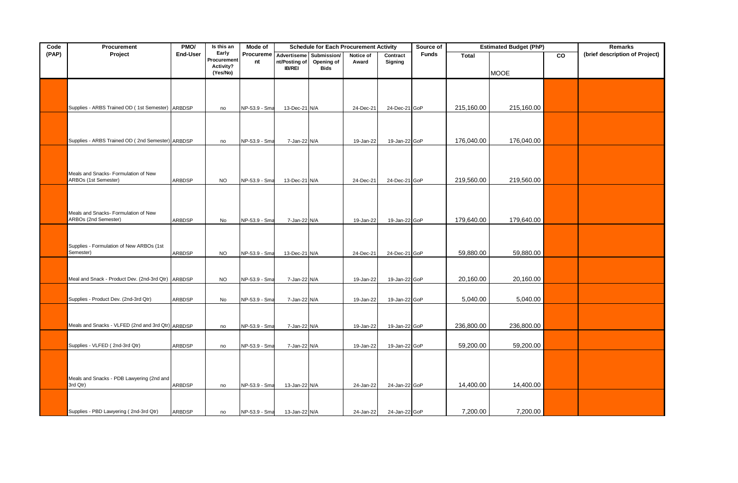| Code  | Procurement                                        | PMO/            | Is this an               | Mode of       | <b>Schedule for Each Procurement Activity</b> |             |           | Source of     | <b>Estimated Budget (PhP)</b> | <b>Remarks</b> |             |           |                                |
|-------|----------------------------------------------------|-----------------|--------------------------|---------------|-----------------------------------------------|-------------|-----------|---------------|-------------------------------|----------------|-------------|-----------|--------------------------------|
| (PAP) | Project                                            | <b>End-User</b> | Early                    | Procureme     | Advertiseme                                   | Submission/ | Notice of | Contract      | <b>Funds</b>                  | <b>Total</b>   |             | <b>CO</b> | (brief description of Project) |
|       |                                                    |                 | Procurement<br>Activity? | nt            | nt/Posting of                                 | Opening of  | Award     | Signing       |                               |                |             |           |                                |
|       |                                                    |                 | (Yes/No)                 |               | <b>IB/REI</b>                                 | Bids        |           |               |                               |                | <b>MOOE</b> |           |                                |
|       |                                                    |                 |                          |               |                                               |             |           |               |                               |                |             |           |                                |
|       |                                                    |                 |                          |               |                                               |             |           |               |                               |                |             |           |                                |
|       |                                                    |                 |                          |               |                                               |             |           |               |                               |                |             |           |                                |
|       | Supplies - ARBS Trained OD (1st Semester) ARBDSP   |                 | no                       | NP-53.9 - Sma | 13-Dec-21 N/A                                 |             | 24-Dec-21 | 24-Dec-21 GoP |                               | 215,160.00     | 215,160.00  |           |                                |
|       |                                                    |                 |                          |               |                                               |             |           |               |                               |                |             |           |                                |
|       |                                                    |                 |                          |               |                                               |             |           |               |                               |                |             |           |                                |
|       |                                                    |                 |                          |               |                                               |             |           |               |                               |                |             |           |                                |
|       | Supplies - ARBS Trained OD (2nd Semester) ARBDSP   |                 | no                       | NP-53.9 - Sma | 7-Jan-22 N/A                                  |             | 19-Jan-22 | 19-Jan-22 GoP |                               | 176,040.00     | 176,040.00  |           |                                |
|       |                                                    |                 |                          |               |                                               |             |           |               |                               |                |             |           |                                |
|       |                                                    |                 |                          |               |                                               |             |           |               |                               |                |             |           |                                |
|       | Meals and Snacks- Formulation of New               |                 |                          |               |                                               |             |           |               |                               |                |             |           |                                |
|       | ARBOs (1st Semester)                               | ARBDSP          | <b>NO</b>                | NP-53.9 - Sma | 13-Dec-21 N/A                                 |             | 24-Dec-21 | 24-Dec-21 GoP |                               | 219,560.00     | 219,560.00  |           |                                |
|       |                                                    |                 |                          |               |                                               |             |           |               |                               |                |             |           |                                |
|       |                                                    |                 |                          |               |                                               |             |           |               |                               |                |             |           |                                |
|       | Meals and Snacks- Formulation of New               |                 |                          |               |                                               |             |           |               |                               |                |             |           |                                |
|       | ARBOs (2nd Semester)                               | ARBDSP          | No                       | NP-53.9 - Sma | 7-Jan-22 N/A                                  |             | 19-Jan-22 | 19-Jan-22 GoP |                               | 179,640.00     | 179,640.00  |           |                                |
|       |                                                    |                 |                          |               |                                               |             |           |               |                               |                |             |           |                                |
|       |                                                    |                 |                          |               |                                               |             |           |               |                               |                |             |           |                                |
|       | Supplies - Formulation of New ARBOs (1st           |                 |                          |               |                                               |             |           |               |                               |                |             |           |                                |
|       | Semester)                                          | <b>ARBDSP</b>   | <b>NO</b>                | NP-53.9 - Sma | 13-Dec-21 N/A                                 |             | 24-Dec-21 | 24-Dec-21 GoP |                               | 59,880.00      | 59,880.00   |           |                                |
|       |                                                    |                 |                          |               |                                               |             |           |               |                               |                |             |           |                                |
|       | Meal and Snack - Product Dev. (2nd-3rd Qtr) ARBDSP |                 |                          |               |                                               |             |           |               |                               | 20,160.00      | 20,160.00   |           |                                |
|       |                                                    |                 | <b>NO</b>                | NP-53.9 - Sma | 7-Jan-22 N/A                                  |             | 19-Jan-22 | 19-Jan-22 GoP |                               |                |             |           |                                |
|       |                                                    |                 |                          |               |                                               |             |           |               |                               |                |             |           |                                |
|       | Supplies - Product Dev. (2nd-3rd Qtr)              | <b>ARBDSP</b>   | No                       | NP-53.9 - Sma | 7-Jan-22 N/A                                  |             | 19-Jan-22 | 19-Jan-22 GoP |                               | 5,040.00       | 5,040.00    |           |                                |
|       |                                                    |                 |                          |               |                                               |             |           |               |                               |                |             |           |                                |
|       | Meals and Snacks - VLFED (2nd and 3rd Qtr) ARBDSP  |                 | no                       | NP-53.9 - Sma | 7-Jan-22 N/A                                  |             | 19-Jan-22 | 19-Jan-22 GoP |                               | 236,800.00     | 236,800.00  |           |                                |
|       |                                                    |                 |                          |               |                                               |             |           |               |                               |                |             |           |                                |
|       |                                                    |                 |                          |               |                                               |             |           |               |                               |                |             |           |                                |
|       | Supplies - VLFED (2nd-3rd Qtr)                     | ARBDSP          | no                       | NP-53.9 - Sma | 7-Jan-22 N/A                                  |             | 19-Jan-22 | 19-Jan-22 GoP |                               | 59,200.00      | 59,200.00   |           |                                |
|       |                                                    |                 |                          |               |                                               |             |           |               |                               |                |             |           |                                |
|       |                                                    |                 |                          |               |                                               |             |           |               |                               |                |             |           |                                |
|       | Meals and Snacks - PDB Lawyering (2nd and          |                 |                          |               |                                               |             |           |               |                               |                |             |           |                                |
|       | 3rd Qtr)                                           | ARBDSP          | no                       | NP-53.9 - Sma | 13-Jan-22 N/A                                 |             | 24-Jan-22 | 24-Jan-22 GoP |                               | 14,400.00      | 14,400.00   |           |                                |
|       |                                                    |                 |                          |               |                                               |             |           |               |                               |                |             |           |                                |
|       |                                                    |                 |                          |               |                                               |             |           |               |                               |                |             |           |                                |
|       | Supplies - PBD Lawyering (2nd-3rd Qtr)             | <b>ARBDSP</b>   | no                       | NP-53.9 - Sma | 13-Jan-22 N/A                                 |             | 24-Jan-22 | 24-Jan-22 GoP |                               | 7,200.00       | 7,200.00    |           |                                |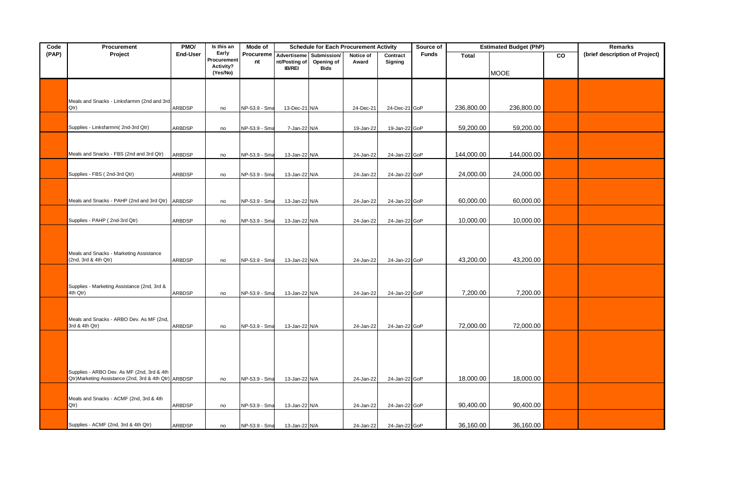| Code  | Procurement                                                     | PMO/          | Is this an           | Mode of       | <b>Schedule for Each Procurement Activity</b> |                           | Source of | <b>Estimated Budget (PhP)</b> | <b>Remarks</b> |              |             |    |                                |
|-------|-----------------------------------------------------------------|---------------|----------------------|---------------|-----------------------------------------------|---------------------------|-----------|-------------------------------|----------------|--------------|-------------|----|--------------------------------|
| (PAP) | Project                                                         | End-User      | Early<br>Procurement | Procureme     | Advertiseme                                   | Submission/               | Notice of | Contract                      | <b>Funds</b>   | <b>Total</b> |             | CO | (brief description of Project) |
|       |                                                                 |               | Activity?            | nt            | nt/Posting of<br><b>IB/REI</b>                | Opening of<br><b>Bids</b> | Award     | Signing                       |                |              |             |    |                                |
|       |                                                                 |               | (Yes/No)             |               |                                               |                           |           |                               |                |              | <b>MOOE</b> |    |                                |
|       |                                                                 |               |                      |               |                                               |                           |           |                               |                |              |             |    |                                |
|       |                                                                 |               |                      |               |                                               |                           |           |                               |                |              |             |    |                                |
|       | Meals and Snacks - Linksfarmm (2nd and 3rd                      |               |                      |               |                                               |                           |           |                               |                |              |             |    |                                |
|       | Qtr)                                                            | <b>ARBDSP</b> | no                   | NP-53.9 - Sma | 13-Dec-21 N/A                                 |                           | 24-Dec-21 | 24-Dec-21 GoP                 |                | 236,800.00   | 236,800.00  |    |                                |
|       |                                                                 |               |                      |               |                                               |                           |           |                               |                |              |             |    |                                |
|       | Supplies - Linksfarmm(2nd-3rd Qtr)                              | ARBDSP        | no                   | NP-53.9 - Sma | 7-Jan-22 N/A                                  |                           | 19-Jan-22 | 19-Jan-22 GoP                 |                | 59,200.00    | 59,200.00   |    |                                |
|       |                                                                 |               |                      |               |                                               |                           |           |                               |                |              |             |    |                                |
|       |                                                                 |               |                      |               |                                               |                           |           |                               |                |              |             |    |                                |
|       | Meals and Snacks - FBS (2nd and 3rd Qtr)                        | <b>ARBDSP</b> | no                   | NP-53.9 - Sma | 13-Jan-22 N/A                                 |                           | 24-Jan-22 | 24-Jan-22 GoP                 |                | 144,000.00   | 144,000.00  |    |                                |
|       |                                                                 |               |                      |               |                                               |                           |           |                               |                |              |             |    |                                |
|       | Supplies - FBS (2nd-3rd Qtr)                                    | <b>ARBDSP</b> | no                   | NP-53.9 - Sma | 13-Jan-22 N/A                                 |                           | 24-Jan-22 | 24-Jan-22 GoP                 |                | 24,000.00    | 24,000.00   |    |                                |
|       |                                                                 |               |                      |               |                                               |                           |           |                               |                |              |             |    |                                |
|       |                                                                 |               |                      |               |                                               |                           |           |                               |                |              |             |    |                                |
|       | Meals and Snacks - PAHP (2nd and 3rd Qtr)                       | <b>ARBDSP</b> | no                   | NP-53.9 - Sma | 13-Jan-22 N/A                                 |                           | 24-Jan-22 | 24-Jan-22 GoP                 |                | 60,000.00    | 60,000.00   |    |                                |
|       |                                                                 |               |                      |               |                                               |                           |           |                               |                |              |             |    |                                |
|       | Supplies - PAHP (2nd-3rd Qtr)                                   | ARBDSP        | no                   | NP-53.9 - Sma | 13-Jan-22 N/A                                 |                           | 24-Jan-22 | 24-Jan-22 GoP                 |                | 10,000.00    | 10,000.00   |    |                                |
|       |                                                                 |               |                      |               |                                               |                           |           |                               |                |              |             |    |                                |
|       |                                                                 |               |                      |               |                                               |                           |           |                               |                |              |             |    |                                |
|       |                                                                 |               |                      |               |                                               |                           |           |                               |                |              |             |    |                                |
|       | Meals and Snacks - Marketing Assistance<br>(2nd, 3rd & 4th Qtr) | ARBDSP        | no                   | NP-53.9 - Sma | 13-Jan-22 N/A                                 |                           | 24-Jan-22 | 24-Jan-22 GoP                 |                | 43,200.00    | 43,200.00   |    |                                |
|       |                                                                 |               |                      |               |                                               |                           |           |                               |                |              |             |    |                                |
|       |                                                                 |               |                      |               |                                               |                           |           |                               |                |              |             |    |                                |
|       | Supplies - Marketing Assistance (2nd, 3rd &                     |               |                      |               |                                               |                           |           |                               |                |              |             |    |                                |
|       | 4th Qtr)                                                        | ARBDSP        | no                   | NP-53.9 - Sma | 13-Jan-22 N/A                                 |                           | 24-Jan-22 | 24-Jan-22 GoP                 |                | 7,200.00     | 7,200.00    |    |                                |
|       |                                                                 |               |                      |               |                                               |                           |           |                               |                |              |             |    |                                |
|       |                                                                 |               |                      |               |                                               |                           |           |                               |                |              |             |    |                                |
|       | Meals and Snacks - ARBO Dev. As MF (2nd,<br>3rd & 4th Qtr)      | <b>ARBDSP</b> | no                   | NP-53.9 - Sma | 13-Jan-22 N/A                                 |                           | 24-Jan-22 | 24-Jan-22 GoP                 |                | 72,000.00    | 72,000.00   |    |                                |
|       |                                                                 |               |                      |               |                                               |                           |           |                               |                |              |             |    |                                |
|       |                                                                 |               |                      |               |                                               |                           |           |                               |                |              |             |    |                                |
|       |                                                                 |               |                      |               |                                               |                           |           |                               |                |              |             |    |                                |
|       |                                                                 |               |                      |               |                                               |                           |           |                               |                |              |             |    |                                |
|       | Supplies - ARBO Dev. As MF (2nd, 3rd & 4th                      |               |                      |               |                                               |                           |           |                               |                |              |             |    |                                |
|       | Qtr)Marketing Assistance (2nd, 3rd & 4th Qtr) ARBDSP            |               | no                   | NP-53.9 - Sma | 13-Jan-22 N/A                                 |                           | 24-Jan-22 | 24-Jan-22 GoP                 |                | 18,000.00    | 18,000.00   |    |                                |
|       |                                                                 |               |                      |               |                                               |                           |           |                               |                |              |             |    |                                |
|       | Meals and Snacks - ACMF (2nd, 3rd & 4th                         |               |                      |               |                                               |                           |           |                               |                |              |             |    |                                |
|       | Qtr)                                                            | ARBDSP        | no                   | NP-53.9 - Sma | 13-Jan-22 N/A                                 |                           | 24-Jan-22 | 24-Jan-22 GoP                 |                | 90,400.00    | 90,400.00   |    |                                |
|       |                                                                 |               |                      |               |                                               |                           |           |                               |                |              |             |    |                                |
|       | Supplies - ACMF (2nd, 3rd & 4th Qtr)                            | ARBDSP        | no                   | NP-53.9 - Sma | 13-Jan-22 N/A                                 |                           | 24-Jan-22 | 24-Jan-22 GoP                 |                | 36,160.00    | 36,160.00   |    |                                |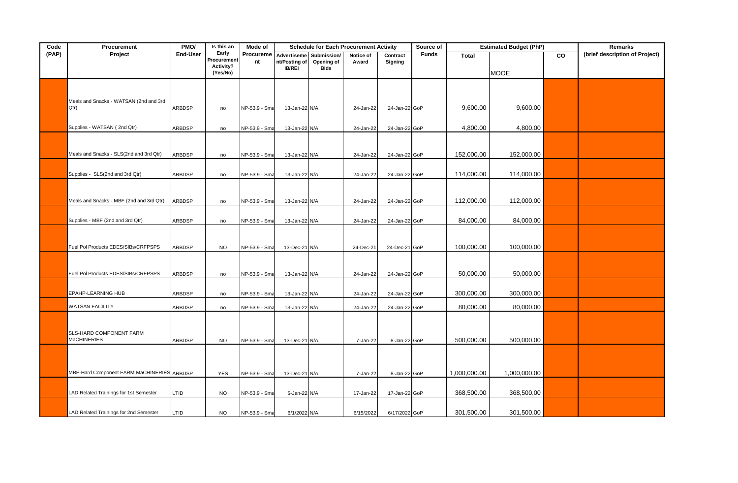| Code  | Procurement                                | PMO/            | Is this an           | Mode of       | <b>Schedule for Each Procurement Activity</b> |                           | <b>Estimated Budget (PhP)</b><br>Source of |               |              |              | <b>Remarks</b> |    |                                |
|-------|--------------------------------------------|-----------------|----------------------|---------------|-----------------------------------------------|---------------------------|--------------------------------------------|---------------|--------------|--------------|----------------|----|--------------------------------|
| (PAP) | Project                                    | <b>End-User</b> | Early<br>Procurement | Procureme     | Advertiseme                                   | Submission/               | Notice of                                  | Contract      | <b>Funds</b> | <b>Total</b> |                | CO | (brief description of Project) |
|       |                                            |                 | Activity?            | nt            | nt/Posting of<br><b>IB/REI</b>                | Opening of<br><b>Bids</b> | Award                                      | Signing       |              |              |                |    |                                |
|       |                                            |                 | (Yes/No)             |               |                                               |                           |                                            |               |              |              | <b>MOOE</b>    |    |                                |
|       |                                            |                 |                      |               |                                               |                           |                                            |               |              |              |                |    |                                |
|       |                                            |                 |                      |               |                                               |                           |                                            |               |              |              |                |    |                                |
|       | Meals and Snacks - WATSAN (2nd and 3rd     |                 |                      |               |                                               |                           |                                            |               |              |              |                |    |                                |
|       | Qtr)                                       | ARBDSP          | no                   | NP-53.9 - Sma | 13-Jan-22 N/A                                 |                           | 24-Jan-22                                  | 24-Jan-22 GoP |              | 9,600.00     | 9,600.00       |    |                                |
|       |                                            |                 |                      |               |                                               |                           |                                            |               |              |              |                |    |                                |
|       | Supplies - WATSAN (2nd Qtr)                | <b>ARBDSP</b>   | no                   | NP-53.9 - Sma | 13-Jan-22 N/A                                 |                           | 24-Jan-22                                  | 24-Jan-22 GoP |              | 4,800.00     | 4,800.00       |    |                                |
|       |                                            |                 |                      |               |                                               |                           |                                            |               |              |              |                |    |                                |
|       |                                            |                 |                      |               |                                               |                           |                                            |               |              |              |                |    |                                |
|       | Meals and Snacks - SLS(2nd and 3rd Qtr)    | <b>ARBDSP</b>   | no                   | NP-53.9 - Sma | 13-Jan-22 N/A                                 |                           | 24-Jan-22                                  | 24-Jan-22 GoP |              | 152,000.00   | 152,000.00     |    |                                |
|       |                                            |                 |                      |               |                                               |                           |                                            |               |              |              |                |    |                                |
|       | Supplies - SLS(2nd and 3rd Qtr)            | ARBDSP          | no                   | NP-53.9 - Sma | 13-Jan-22 N/A                                 |                           | 24-Jan-22                                  | 24-Jan-22 GoP |              | 114,000.00   | 114,000.00     |    |                                |
|       |                                            |                 |                      |               |                                               |                           |                                            |               |              |              |                |    |                                |
|       |                                            |                 |                      |               |                                               |                           |                                            |               |              |              |                |    |                                |
|       | Meals and Snacks - MBF (2nd and 3rd Qtr)   | <b>ARBDSP</b>   | no                   | NP-53.9 - Sma | 13-Jan-22 N/A                                 |                           | 24-Jan-22                                  | 24-Jan-22 GoP |              | 112,000.00   | 112,000.00     |    |                                |
|       |                                            |                 |                      |               |                                               |                           |                                            |               |              |              |                |    |                                |
|       | Supplies - MBF (2nd and 3rd Qtr)           | <b>ARBDSP</b>   | no                   | NP-53.9 - Sma | 13-Jan-22 N/A                                 |                           | 24-Jan-22                                  | 24-Jan-22 GoP |              | 84,000.00    | 84,000.00      |    |                                |
|       |                                            |                 |                      |               |                                               |                           |                                            |               |              |              |                |    |                                |
|       |                                            |                 |                      |               |                                               |                           |                                            |               |              |              |                |    |                                |
|       | Fuel Pol Products EDES/SIBs/CRFPSPS        | <b>ARBDSP</b>   | <b>NO</b>            | NP-53.9 - Sma | 13-Dec-21 N/A                                 |                           | 24-Dec-21                                  | 24-Dec-21 GoP |              | 100,000.00   | 100,000.00     |    |                                |
|       |                                            |                 |                      |               |                                               |                           |                                            |               |              |              |                |    |                                |
|       |                                            |                 |                      |               |                                               |                           |                                            |               |              |              |                |    |                                |
|       | Fuel Pol Products EDES/SIBs/CRFPSPS        | ARBDSP          | no                   | NP-53.9 - Sma | 13-Jan-22 N/A                                 |                           | 24-Jan-22                                  | 24-Jan-22 GoP |              | 50,000.00    | 50,000.00      |    |                                |
|       |                                            |                 |                      |               |                                               |                           |                                            |               |              |              |                |    |                                |
|       | EPAHP-LEARNING HUB                         | ARBDSP          | no                   | NP-53.9 - Sma | 13-Jan-22 N/A                                 |                           | 24-Jan-22                                  | 24-Jan-22 GoP |              | 300,000.00   | 300,000.00     |    |                                |
|       | WATSAN FACILITY                            | <b>ARBDSP</b>   | no                   | NP-53.9 - Sma | 13-Jan-22 N/A                                 |                           | 24-Jan-22                                  | 24-Jan-22 GoP |              | 80,000.00    | 80,000.00      |    |                                |
|       |                                            |                 |                      |               |                                               |                           |                                            |               |              |              |                |    |                                |
|       |                                            |                 |                      |               |                                               |                           |                                            |               |              |              |                |    |                                |
|       | SLS-HARD COMPONENT FARM                    |                 |                      |               |                                               |                           |                                            |               |              |              |                |    |                                |
|       | <b>MaCHINERIES</b>                         | <b>ARBDSP</b>   | <b>NO</b>            | NP-53.9 - Sma | 13-Dec-21 N/A                                 |                           | 7-Jan-22                                   | 8-Jan-22 GoP  |              | 500,000.00   | 500,000.00     |    |                                |
|       |                                            |                 |                      |               |                                               |                           |                                            |               |              |              |                |    |                                |
|       |                                            |                 |                      |               |                                               |                           |                                            |               |              |              |                |    |                                |
|       |                                            |                 |                      |               |                                               |                           |                                            |               |              |              |                |    |                                |
|       | MBF-Hard Component FARM MaCHINERIES ARBDSP |                 | <b>YES</b>           | NP-53.9 - Sma | 13-Dec-21 N/A                                 |                           | 7-Jan-22                                   | 8-Jan-22 GoP  |              | 1,000,000.00 | 1,000,000.00   |    |                                |
|       |                                            |                 |                      |               |                                               |                           |                                            |               |              |              |                |    |                                |
|       | LAD Related Trainings for 1st Semester     | LTID            | <b>NO</b>            | NP-53.9 - Sma | 5-Jan-22 N/A                                  |                           | 17-Jan-22                                  | 17-Jan-22 GoP |              | 368,500.00   | 368,500.00     |    |                                |
|       |                                            |                 |                      |               |                                               |                           |                                            |               |              |              |                |    |                                |
|       | LAD Related Trainings for 2nd Semester     | LTID            | <b>NO</b>            | NP-53.9 - Sma | 6/1/2022 N/A                                  |                           | 6/15/2022                                  | 6/17/2022 GoP |              | 301,500.00   | 301,500.00     |    |                                |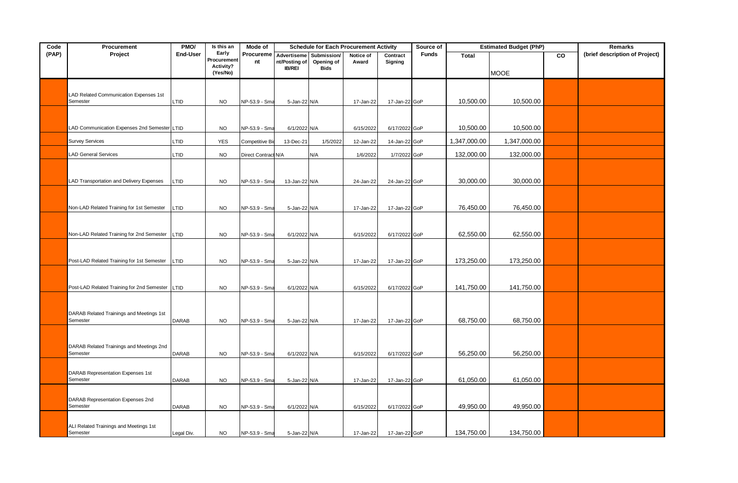| PMO/<br>Is this an<br>Code<br>Procurement<br>Mode of |                                                      |              |                      |                     | <b>Schedule for Each Procurement Activity</b> |                           | Source of |               | <b>Estimated Budget (PhP)</b> |              | Remarks      |    |                                |
|------------------------------------------------------|------------------------------------------------------|--------------|----------------------|---------------------|-----------------------------------------------|---------------------------|-----------|---------------|-------------------------------|--------------|--------------|----|--------------------------------|
| (PAP)                                                | Project                                              | End-User     | Early<br>Procurement | Procureme           | Advertiseme                                   | Submission/               | Notice of | Contract      | <b>Funds</b>                  | <b>Total</b> |              | CO | (brief description of Project) |
|                                                      |                                                      |              | Activity?            | nt                  | nt/Posting of<br><b>IB/REI</b>                | Opening of<br><b>Bids</b> | Award     | Signing       |                               |              |              |    |                                |
|                                                      |                                                      |              | (Yes/No)             |                     |                                               |                           |           |               |                               |              | <b>MOOE</b>  |    |                                |
|                                                      |                                                      |              |                      |                     |                                               |                           |           |               |                               |              |              |    |                                |
|                                                      | LAD Related Communication Expenses 1st               |              |                      |                     |                                               |                           |           |               |                               |              |              |    |                                |
|                                                      | Semester                                             | LTID         | <b>NO</b>            | NP-53.9 - Sma       | 5-Jan-22 N/A                                  |                           | 17-Jan-22 | 17-Jan-22 GoP |                               | 10,500.00    | 10,500.00    |    |                                |
|                                                      |                                                      |              |                      |                     |                                               |                           |           |               |                               |              |              |    |                                |
|                                                      |                                                      |              |                      |                     |                                               |                           |           |               |                               |              |              |    |                                |
|                                                      | LAD Communication Expenses 2nd Semester LTID         |              | <b>NO</b>            | NP-53.9 - Sm        | 6/1/2022 N/A                                  |                           | 6/15/2022 | 6/17/2022 GoP |                               | 10,500.00    | 10,500.00    |    |                                |
|                                                      | <b>Survey Services</b>                               | LTID         | <b>YES</b>           | Competitive Bi      | $13$ -Dec-2                                   | 1/5/2022                  | 12-Jan-22 | 14-Jan-22 GoP |                               | 1,347,000.00 | 1,347,000.00 |    |                                |
|                                                      | LAD General Services                                 |              |                      |                     |                                               |                           |           |               |                               | 132,000.00   | 132,000.00   |    |                                |
|                                                      |                                                      | LTID         | <b>NO</b>            | Direct Contract N/A |                                               | N/A                       | 1/6/2022  | 1/7/2022 GoP  |                               |              |              |    |                                |
|                                                      |                                                      |              |                      |                     |                                               |                           |           |               |                               |              |              |    |                                |
|                                                      | LAD Transportation and Delivery Expenses             | LTID         | <b>NO</b>            | NP-53.9 - Sma       | 13-Jan-22 N/A                                 |                           | 24-Jan-22 | 24-Jan-22 GoP |                               | 30,000.00    | 30,000.00    |    |                                |
|                                                      |                                                      |              |                      |                     |                                               |                           |           |               |                               |              |              |    |                                |
|                                                      |                                                      |              |                      |                     |                                               |                           |           |               |                               |              |              |    |                                |
|                                                      | Non-LAD Related Training for 1st Semester            | LTID         | <b>NO</b>            | NP-53.9 - Sma       | 5-Jan-22 N/A                                  |                           | 17-Jan-22 | 17-Jan-22 GoP |                               | 76,450.00    | 76,450.00    |    |                                |
|                                                      |                                                      |              |                      |                     |                                               |                           |           |               |                               |              |              |    |                                |
|                                                      |                                                      |              |                      |                     |                                               |                           |           |               |                               |              |              |    |                                |
|                                                      | Non-LAD Related Training for 2nd Semester            | LTID         | <b>NO</b>            | NP-53.9 - Sma       | 6/1/2022 N/A                                  |                           | 6/15/2022 | 6/17/2022 GoP |                               | 62,550.00    | 62,550.00    |    |                                |
|                                                      |                                                      |              |                      |                     |                                               |                           |           |               |                               |              |              |    |                                |
|                                                      |                                                      |              |                      |                     |                                               |                           |           |               |                               |              |              |    |                                |
|                                                      | Post-LAD Related Training for 1st Semester           | LTID         | <b>NO</b>            | NP-53.9 - Sma       | 5-Jan-22 N/A                                  |                           | 17-Jan-22 | 17-Jan-22 GoP |                               | 173,250.00   | 173,250.00   |    |                                |
|                                                      |                                                      |              |                      |                     |                                               |                           |           |               |                               |              |              |    |                                |
|                                                      | Post-LAD Related Training for 2nd Semester LTID      |              | <b>NO</b>            | NP-53.9 - Sma       | 6/1/2022 N/A                                  |                           |           | 6/17/2022 GoP |                               | 141,750.00   | 141,750.00   |    |                                |
|                                                      |                                                      |              |                      |                     |                                               |                           | 6/15/2022 |               |                               |              |              |    |                                |
|                                                      |                                                      |              |                      |                     |                                               |                           |           |               |                               |              |              |    |                                |
|                                                      | DARAB Related Trainings and Meetings 1st             |              |                      |                     |                                               |                           |           |               |                               |              |              |    |                                |
|                                                      | Semester                                             | <b>DARAB</b> | <b>NO</b>            | NP-53.9 - Sma       | 5-Jan-22 N/A                                  |                           | 17-Jan-22 | 17-Jan-22 GoP |                               | 68,750.00    | 68,750.00    |    |                                |
|                                                      |                                                      |              |                      |                     |                                               |                           |           |               |                               |              |              |    |                                |
|                                                      |                                                      |              |                      |                     |                                               |                           |           |               |                               |              |              |    |                                |
|                                                      | DARAB Related Trainings and Meetings 2nd<br>Semester | <b>DARAB</b> | <b>NO</b>            | NP-53.9 - Sma       | 6/1/2022 N/A                                  |                           | 6/15/2022 | 6/17/2022 GoP |                               | 56,250.00    | 56,250.00    |    |                                |
|                                                      |                                                      |              |                      |                     |                                               |                           |           |               |                               |              |              |    |                                |
|                                                      |                                                      |              |                      |                     |                                               |                           |           |               |                               |              |              |    |                                |
|                                                      | DARAB Representation Expenses 1st<br>Semester        | DARAB        | <b>NO</b>            | NP-53.9 - Sma       | 5-Jan-22 N/A                                  |                           | 17-Jan-22 | 17-Jan-22 GoP |                               | 61,050.00    | 61,050.00    |    |                                |
|                                                      |                                                      |              |                      |                     |                                               |                           |           |               |                               |              |              |    |                                |
|                                                      | DARAB Representation Expenses 2nd                    |              |                      |                     |                                               |                           |           |               |                               |              |              |    |                                |
|                                                      | Semester                                             | <b>DARAB</b> | <b>NO</b>            | NP-53.9 - Sma       | 6/1/2022 N/A                                  |                           | 6/15/2022 | 6/17/2022 GoP |                               | 49,950.00    | 49,950.00    |    |                                |
|                                                      |                                                      |              |                      |                     |                                               |                           |           |               |                               |              |              |    |                                |
|                                                      | ALI Related Trainings and Meetings 1st               |              |                      |                     |                                               |                           |           |               |                               |              |              |    |                                |
|                                                      | Semester                                             | Legal Div.   | <b>NO</b>            | NP-53.9 - Sma       | 5-Jan-22 N/A                                  |                           | 17-Jan-22 | 17-Jan-22 GoP |                               | 134,750.00   | 134,750.00   |    |                                |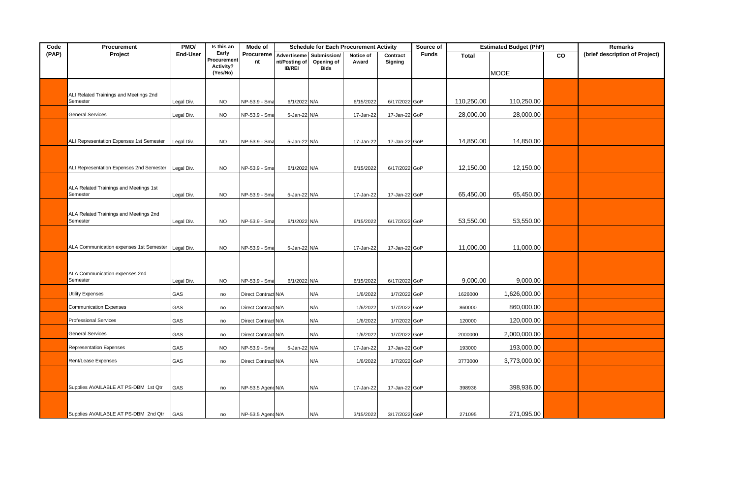| Code  | Procurement                              | PMO/       | Is this an               | Mode of             |                                |                           | <b>Schedule for Each Procurement Activity</b> |               | <b>Estimated Budget (PhP)</b><br>Source of |              |              |    | <b>Remarks</b>                 |
|-------|------------------------------------------|------------|--------------------------|---------------------|--------------------------------|---------------------------|-----------------------------------------------|---------------|--------------------------------------------|--------------|--------------|----|--------------------------------|
| (PAP) | Project                                  | End-User   | Early                    | Procureme           | Advertiseme                    | Submission/               | Notice of                                     | Contract      | <b>Funds</b>                               | <b>Total</b> |              | CO | (brief description of Project) |
|       |                                          |            | Procurement<br>Activity? | nt                  | nt/Posting of<br><b>IB/REI</b> | Opening of<br><b>Bids</b> | Award                                         | Signing       |                                            |              |              |    |                                |
|       |                                          |            | (Yes/No)                 |                     |                                |                           |                                               |               |                                            |              | <b>MOOE</b>  |    |                                |
|       |                                          |            |                          |                     |                                |                           |                                               |               |                                            |              |              |    |                                |
|       | ALI Related Trainings and Meetings 2nd   |            |                          |                     |                                |                           |                                               |               |                                            |              |              |    |                                |
|       | Semester                                 | Legal Div. | <b>NO</b>                | NP-53.9 - Sma       | 6/1/2022 N/A                   |                           | 6/15/2022                                     | 6/17/2022 GoP |                                            | 110,250.00   | 110,250.00   |    |                                |
|       | <b>General Services</b>                  | Legal Div. | <b>NO</b>                | NP-53.9 - Sma       | 5-Jan-22 N/A                   |                           | 17-Jan-22                                     | 17-Jan-22 GoP |                                            | 28,000.00    | 28,000.00    |    |                                |
|       |                                          |            |                          |                     |                                |                           |                                               |               |                                            |              |              |    |                                |
|       |                                          |            |                          |                     |                                |                           |                                               |               |                                            |              |              |    |                                |
|       | ALI Representation Expenses 1st Semester | Legal Div. | <b>NO</b>                | NP-53.9 - Sma       | 5-Jan-22 N/A                   |                           | 17-Jan-22                                     | 17-Jan-22 GoP |                                            | 14,850.00    | 14,850.00    |    |                                |
|       |                                          |            |                          |                     |                                |                           |                                               |               |                                            |              |              |    |                                |
|       |                                          |            |                          |                     |                                |                           |                                               |               |                                            |              |              |    |                                |
|       | ALI Representation Expenses 2nd Semester | Legal Div. | <b>NO</b>                | NP-53.9 - Sma       | 6/1/2022 N/A                   |                           | 6/15/2022                                     | 6/17/2022 GoP |                                            | 12,150.00    | 12,150.00    |    |                                |
|       |                                          |            |                          |                     |                                |                           |                                               |               |                                            |              |              |    |                                |
|       | ALA Related Trainings and Meetings 1st   |            |                          |                     |                                |                           |                                               |               |                                            |              |              |    |                                |
|       | Semester                                 | Legal Div. | <b>NO</b>                | NP-53.9 - Sma       | 5-Jan-22 N/A                   |                           | 17-Jan-22                                     | 17-Jan-22 GoP |                                            | 65,450.00    | 65,450.00    |    |                                |
|       |                                          |            |                          |                     |                                |                           |                                               |               |                                            |              |              |    |                                |
|       | ALA Related Trainings and Meetings 2nd   |            |                          |                     |                                |                           |                                               |               |                                            |              |              |    |                                |
|       | Semester                                 | Legal Div. | <b>NO</b>                | NP-53.9 - Sma       | 6/1/2022 N/A                   |                           | 6/15/2022                                     | 6/17/2022 GoP |                                            | 53,550.00    | 53,550.00    |    |                                |
|       |                                          |            |                          |                     |                                |                           |                                               |               |                                            |              |              |    |                                |
|       | ALA Communication expenses 1st Semester  | Legal Div. | <b>NO</b>                | NP-53.9 - Sma       | 5-Jan-22 N/A                   |                           | 17-Jan-22                                     | 17-Jan-22 GoP |                                            | 11,000.00    | 11,000.00    |    |                                |
|       |                                          |            |                          |                     |                                |                           |                                               |               |                                            |              |              |    |                                |
|       |                                          |            |                          |                     |                                |                           |                                               |               |                                            |              |              |    |                                |
|       | ALA Communication expenses 2nd           |            |                          |                     |                                |                           |                                               |               |                                            |              |              |    |                                |
|       | Semester                                 | Legal Div. | <b>NO</b>                | NP-53.9 - Sma       | 6/1/2022 N/A                   |                           | 6/15/2022                                     | 6/17/2022 GoP |                                            | 9,000.00     | 9,000.00     |    |                                |
|       | <b>Utility Expenses</b>                  | GAS        | no                       | Direct Contract N/A |                                | N/A                       | 1/6/2022                                      | 1/7/2022 GoP  |                                            | 1626000      | 1,626,000.00 |    |                                |
|       |                                          |            |                          |                     |                                |                           |                                               |               |                                            |              |              |    |                                |
|       | <b>Communication Expenses</b>            | GAS        | no                       | Direct Contract N/A |                                | N/A                       | 1/6/2022                                      | 1/7/2022 GoP  |                                            | 860000       | 860,000.00   |    |                                |
|       | <b>Professional Services</b>             | GAS        | no                       | Direct Contract N/A |                                | N/A                       | 1/6/2022                                      | 1/7/2022 GoP  |                                            | 120000       | 120,000.00   |    |                                |
|       | <b>General Services</b>                  | GAS        | no                       | Direct Contract N/A |                                | N/A                       | 1/6/2022                                      | 1/7/2022 GoP  |                                            | 2000000      | 2,000,000.00 |    |                                |
|       |                                          |            |                          |                     |                                |                           |                                               |               |                                            |              |              |    |                                |
|       | <b>Representation Expenses</b>           | GAS        | <b>NO</b>                | NP-53.9 - Sma       | 5-Jan-22 N/A                   |                           | 17-Jan-22                                     | 17-Jan-22 GoP |                                            | 193000       | 193,000.00   |    |                                |
|       | Rent/Lease Expenses                      | GAS        | no                       | Direct Contract N/A |                                | N/A                       | 1/6/2022                                      | 1/7/2022 GoP  |                                            | 3773000      | 3,773,000.00 |    |                                |
|       |                                          |            |                          |                     |                                |                           |                                               |               |                                            |              |              |    |                                |
|       |                                          |            |                          |                     |                                |                           |                                               |               |                                            |              |              |    |                                |
|       | Supplies AVAILABLE AT PS-DBM 1st Qtr     | GAS        | no                       | NP-53.5 Agend N/A   |                                | N/A                       | 17-Jan-22                                     | 17-Jan-22 GoP |                                            | 398936       | 398,936.00   |    |                                |
|       |                                          |            |                          |                     |                                |                           |                                               |               |                                            |              |              |    |                                |
|       |                                          |            |                          |                     |                                |                           |                                               |               |                                            |              |              |    |                                |
|       | Supplies AVAILABLE AT PS-DBM 2nd Qtr     | GAS        | no                       | NP-53.5 Agend N/A   |                                | N/A                       | 3/15/2022                                     | 3/17/2022 GoP |                                            | 271095       | 271,095.00   |    |                                |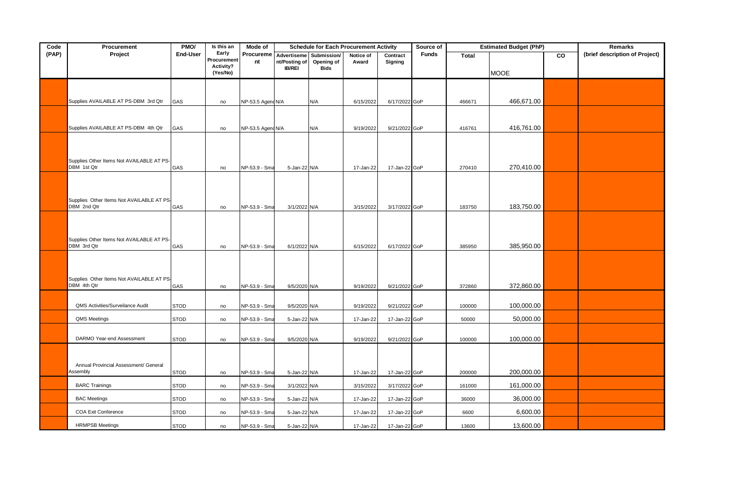| Code  | Procurement                               | PMO/        | Is this an           | <b>Mode of</b>    | <b>Schedule for Each Procurement Activity</b> |                           |           | Source of     | <b>Estimated Budget (PhP)</b> | <b>Remarks</b> |             |    |                                |
|-------|-------------------------------------------|-------------|----------------------|-------------------|-----------------------------------------------|---------------------------|-----------|---------------|-------------------------------|----------------|-------------|----|--------------------------------|
| (PAP) | Project                                   | End-User    | Early<br>Procurement | Procureme         | Advertiseme                                   | Submission/               | Notice of | Contract      | <b>Funds</b>                  | <b>Total</b>   |             | CO | (brief description of Project) |
|       |                                           |             | Activity?            | nt                | nt/Posting of<br><b>IB/REI</b>                | Opening of<br><b>Bids</b> | Award     | Signing       |                               |                |             |    |                                |
|       |                                           |             | (Yes/No)             |                   |                                               |                           |           |               |                               |                | <b>MOOE</b> |    |                                |
|       |                                           |             |                      |                   |                                               |                           |           |               |                               |                |             |    |                                |
|       |                                           |             |                      |                   |                                               |                           |           |               |                               |                |             |    |                                |
|       | Supplies AVAILABLE AT PS-DBM 3rd Qtr      | GAS         | no                   | NP-53.5 Agend N/A |                                               | N/A                       | 6/15/2022 | 6/17/2022 GoP |                               | 466671         | 466,671.00  |    |                                |
|       |                                           |             |                      |                   |                                               |                           |           |               |                               |                |             |    |                                |
|       |                                           |             |                      |                   |                                               |                           |           |               |                               |                |             |    |                                |
|       | Supplies AVAILABLE AT PS-DBM 4th Qtr      | GAS         | no                   | NP-53.5 Agend N/A |                                               | N/A                       | 9/19/2022 | 9/21/2022 GoP |                               | 416761         | 416,761.00  |    |                                |
|       |                                           |             |                      |                   |                                               |                           |           |               |                               |                |             |    |                                |
|       |                                           |             |                      |                   |                                               |                           |           |               |                               |                |             |    |                                |
|       | Supplies Other Items Not AVAILABLE AT PS- |             |                      |                   |                                               |                           |           |               |                               |                |             |    |                                |
|       | DBM 1st Qtr                               | GAS         | no                   | NP-53.9 - Sma     | 5-Jan-22 N/A                                  |                           | 17-Jan-22 | 17-Jan-22 GoP |                               | 270410         | 270,410.00  |    |                                |
|       |                                           |             |                      |                   |                                               |                           |           |               |                               |                |             |    |                                |
|       |                                           |             |                      |                   |                                               |                           |           |               |                               |                |             |    |                                |
|       | Supplies Other Items Not AVAILABLE AT PS- |             |                      |                   |                                               |                           |           |               |                               |                |             |    |                                |
|       | DBM 2nd Qtr                               | GAS         | no                   | NP-53.9 - Sma     | 3/1/2022 N/A                                  |                           | 3/15/2022 | 3/17/2022 GoP |                               | 183750         | 183,750.00  |    |                                |
|       |                                           |             |                      |                   |                                               |                           |           |               |                               |                |             |    |                                |
|       |                                           |             |                      |                   |                                               |                           |           |               |                               |                |             |    |                                |
|       | Supplies Other Items Not AVAILABLE AT PS- |             |                      |                   |                                               |                           |           |               |                               |                |             |    |                                |
|       | DBM 3rd Qtr                               | GAS         | no                   | NP-53.9 - Sma     | 6/1/2022 N/A                                  |                           | 6/15/2022 | 6/17/2022 GoP |                               | 385950         | 385,950.00  |    |                                |
|       |                                           |             |                      |                   |                                               |                           |           |               |                               |                |             |    |                                |
|       |                                           |             |                      |                   |                                               |                           |           |               |                               |                |             |    |                                |
|       | Supplies Other Items Not AVAILABLE AT PS- |             |                      |                   |                                               |                           |           |               |                               |                |             |    |                                |
|       | DBM 4th Qtr                               | GAS         | no                   | NP-53.9 - Sma     | 9/5/2020 N/A                                  |                           | 9/19/2022 | 9/21/2022 GoP |                               | 372860         | 372,860.00  |    |                                |
|       |                                           |             |                      |                   |                                               |                           |           |               |                               |                |             |    |                                |
|       | QMS Activities/Surveilance Audit          | <b>STOD</b> | no                   | NP-53.9 - Sma     | 9/5/2020 N/A                                  |                           | 9/19/2022 | 9/21/2022 GoP |                               | 100000         | 100,000.00  |    |                                |
|       | QMS Meetings                              | <b>STOD</b> | no                   | NP-53.9 - Sma     | 5-Jan-22 N/A                                  |                           | 17-Jan-22 | 17-Jan-22 GoP |                               | 50000          | 50,000.00   |    |                                |
|       |                                           |             |                      |                   |                                               |                           |           |               |                               |                |             |    |                                |
|       | DARMO Year-end Assessment                 | <b>STOD</b> | no                   | NP-53.9 - Sma     | 9/5/2020 N/A                                  |                           | 9/19/2022 | 9/21/2022 GoP |                               | 100000         | 100,000.00  |    |                                |
|       |                                           |             |                      |                   |                                               |                           |           |               |                               |                |             |    |                                |
|       |                                           |             |                      |                   |                                               |                           |           |               |                               |                |             |    |                                |
|       | Annual Provincial Assessment/ General     |             |                      |                   |                                               |                           |           |               |                               |                |             |    |                                |
|       | Assembly                                  | STOD        | no                   | NP-53.9 - Sma     | 5-Jan-22 N/A                                  |                           | 17-Jan-22 | 17-Jan-22 GoP |                               | 200000         | 200,000.00  |    |                                |
|       | <b>BARC Trainings</b>                     | <b>STOD</b> | no                   | NP-53.9 - Sma     | 3/1/2022 N/A                                  |                           | 3/15/2022 | 3/17/2022 GoP |                               | 161000         | 161,000.00  |    |                                |
|       | <b>BAC Meetings</b>                       | <b>STOD</b> | no                   | NP-53.9 - Sma     | 5-Jan-22 N/A                                  |                           | 17-Jan-22 | 17-Jan-22 GoP |                               | 36000          | 36,000.00   |    |                                |
|       |                                           |             |                      |                   |                                               |                           |           |               |                               |                |             |    |                                |
|       | <b>COA Exit Conference</b>                | <b>STOD</b> | no                   | NP-53.9 - Sm      | 5-Jan-22 N/A                                  |                           | 17-Jan-22 | 17-Jan-22 GoP |                               | 6600           | 6,600.00    |    |                                |
|       | <b>HRMPSB Meetings</b>                    | <b>STOD</b> | no                   | NP-53.9 - Sma     | 5-Jan-22 N/A                                  |                           | 17-Jan-22 | 17-Jan-22 GoP |                               | 13600          | 13,600.00   |    |                                |